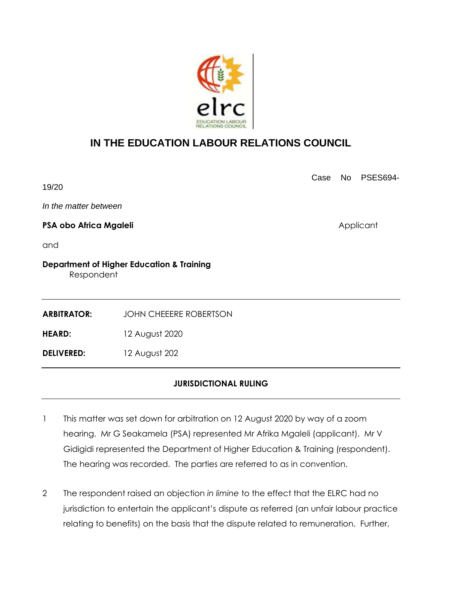

## **IN THE EDUCATION LABOUR RELATIONS COUNCIL**

Case No PSES694- 19/20 *In the matter between* **PSA obo Africa Mgaleli** Applicant and **Department of Higher Education & Training** Respondent **ARBITRATOR:** JOHN CHEEERE ROBERTSON **HEARD:** 12 August 2020 **DELIVERED:** 12 August 202

## **JURISDICTIONAL RULING**

- 1 This matter was set down for arbitration on 12 August 2020 by way of a zoom hearing. Mr G Seakamela (PSA) represented Mr Afrika Mgaleli (applicant). Mr V Gidigidi represented the Department of Higher Education & Training (respondent). The hearing was recorded. The parties are referred to as in convention.
- 2 The respondent raised an objection *in limine* to the effect that the ELRC had no jurisdiction to entertain the applicant's dispute as referred (an unfair labour practice relating to benefits) on the basis that the dispute related to remuneration. Further,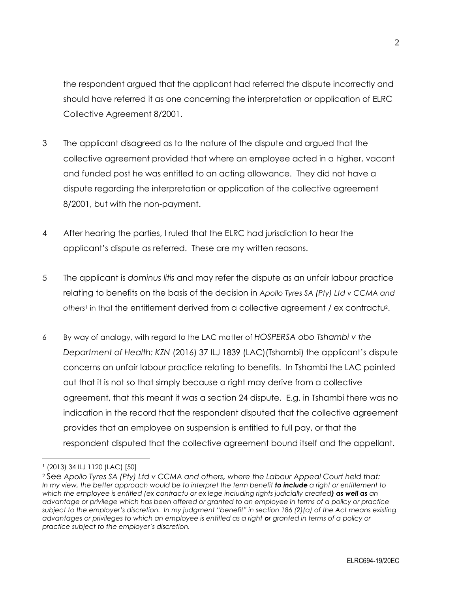the respondent argued that the applicant had referred the dispute incorrectly and should have referred it as one concerning the interpretation or application of ELRC Collective Agreement 8/2001.

- 3 The applicant disagreed as to the nature of the dispute and argued that the collective agreement provided that where an employee acted in a higher, vacant and funded post he was entitled to an acting allowance. They did not have a dispute regarding the interpretation or application of the collective agreement 8/2001, but with the non-payment.
- 4 After hearing the parties, I ruled that the ELRC had jurisdiction to hear the applicant's dispute as referred. These are my written reasons.
- 5 The applicant is *dominus litis* and may refer the dispute as an unfair labour practice relating to benefits on the basis of the decision in *Apollo Tyres SA (Pty) Ltd v CCMA and*  others<sup>1</sup> in that the entitlement derived from a collective agreement / ex contractu<sup>2</sup>.
- 6 By way of analogy, with regard to the LAC matter of *HOSPERSA obo Tshambi v the Department of Health: KZN* (2016) 37 ILJ 1839 (LAC)(Tshambi) the applicant's dispute concerns an unfair labour practice relating to benefits. In Tshambi the LAC pointed out that it is not so that simply because a right may derive from a collective agreement, that this meant it was a section 24 dispute. E.g. in Tshambi there was no indication in the record that the respondent disputed that the collective agreement provides that an employee on suspension is entitled to full pay, or that the respondent disputed that the collective agreement bound itself and the appellant.

<sup>1</sup> (2013) 34 ILJ 1120 (LAC) [50]

<sup>2</sup> See *Apollo Tyres SA (Pty) Ltd v CCMA and others, where the Labour Appeal Court held that: In my view, the better approach would be to interpret the term benefit to include a right or entitlement to which the employee is entitled (ex contractu or ex lege including rights judicially created) as well as an advantage or privilege which has been offered or granted to an employee in terms of a policy or practice subject to the employer's discretion. In my judgment "benefit" in section 186 (2)(a) of the Act means existing advantages or privileges to which an employee is entitled as a right or granted in terms of a policy or practice subject to the employer's discretion.*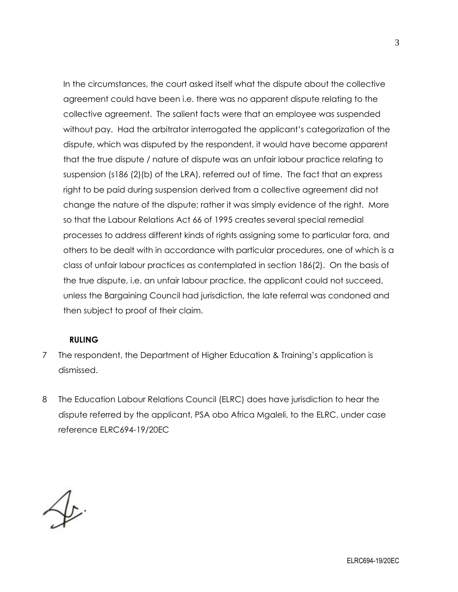In the circumstances, the court asked itself what the dispute about the collective agreement could have been i.e. there was no apparent dispute relating to the collective agreement. The salient facts were that an employee was suspended without pay. Had the arbitrator interrogated the applicant's categorization of the dispute, which was disputed by the respondent, it would have become apparent that the true dispute / nature of dispute was an unfair labour practice relating to suspension (s186 (2)(b) of the LRA), referred out of time. The fact that an express right to be paid during suspension derived from a collective agreement did not change the nature of the dispute; rather it was simply evidence of the right. More so that the Labour Relations Act 66 of 1995 creates several special remedial processes to address different kinds of rights assigning some to particular fora, and others to be dealt with in accordance with particular procedures, one of which is a class of unfair labour practices as contemplated in section 186(2). On the basis of the true dispute, i.e. an unfair labour practice, the applicant could not succeed, unless the Bargaining Council had jurisdiction, the late referral was condoned and then subject to proof of their claim.

## **RULING**

- 7 The respondent, the Department of Higher Education & Training's application is dismissed.
- 8 The Education Labour Relations Council (ELRC) does have jurisdiction to hear the dispute referred by the applicant, PSA obo Africa Mgaleli, to the ELRC, under case reference ELRC694-19/20EC